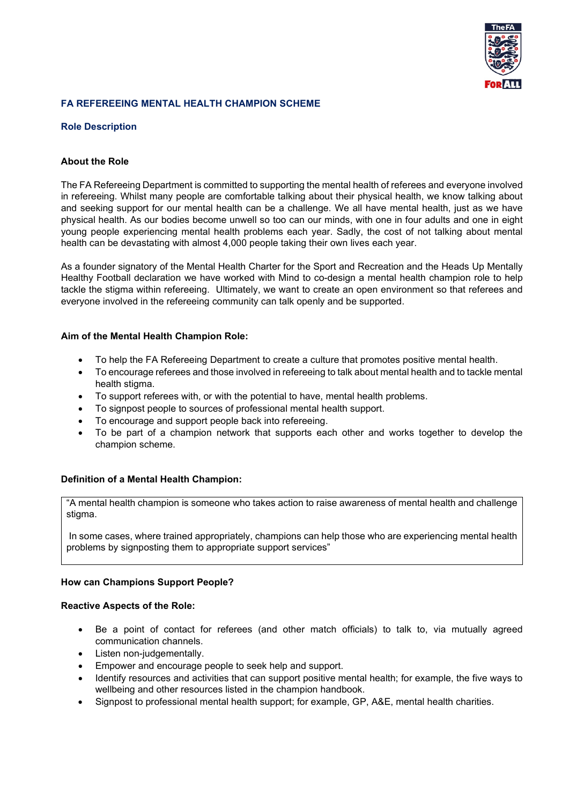

# **FA REFEREEING MENTAL HEALTH CHAMPION SCHEME**

## **Role Description**

### **About the Role**

The FA Refereeing Department is committed to supporting the mental health of referees and everyone involved in refereeing. Whilst many people are comfortable talking about their physical health, we know talking about and seeking support for our mental health can be a challenge. We all have mental health, just as we have physical health. As our bodies become unwell so too can our minds, with one in four adults and one in eight young people experiencing mental health problems each year. Sadly, the cost of not talking about mental health can be devastating with almost 4,000 people taking their own lives each year.

As a founder signatory of the Mental Health Charter for the Sport and Recreation and the Heads Up Mentally Healthy Football declaration we have worked with Mind to co-design a mental health champion role to help tackle the stigma within refereeing. Ultimately, we want to create an open environment so that referees and everyone involved in the refereeing community can talk openly and be supported.

### **Aim of the Mental Health Champion Role:**

- To help the FA Refereeing Department to create a culture that promotes positive mental health.
- To encourage referees and those involved in refereeing to talk about mental health and to tackle mental health stigma.
- To support referees with, or with the potential to have, mental health problems.
- To signpost people to sources of professional mental health support.
- To encourage and support people back into refereeing.
- To be part of a champion network that supports each other and works together to develop the champion scheme.

## **Definition of a Mental Health Champion:**

"A mental health champion is someone who takes action to raise awareness of mental health and challenge stigma.

In some cases, where trained appropriately, champions can help those who are experiencing mental health problems by signposting them to appropriate support services"

## **How can Champions Support People?**

#### **Reactive Aspects of the Role:**

- Be a point of contact for referees (and other match officials) to talk to, via mutually agreed communication channels.
- Listen non-judgementally.
- Empower and encourage people to seek help and support.
- Identify resources and activities that can support positive mental health; for example, the five ways to wellbeing and other resources listed in the champion handbook.
- Signpost to professional mental health support; for example, GP, A&E, mental health charities.